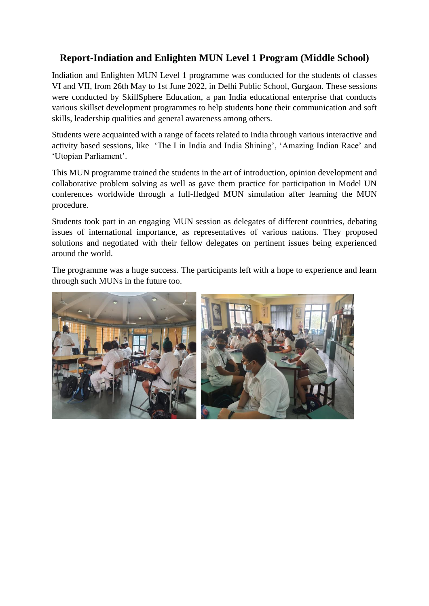## **Report-Indiation and Enlighten MUN Level 1 Program (Middle School)**

Indiation and Enlighten MUN Level 1 programme was conducted for the students of classes VI and VII, from 26th May to 1st June 2022, in Delhi Public School, Gurgaon. These sessions were conducted by SkillSphere Education, a pan India educational enterprise that conducts various skillset development programmes to help students hone their communication and soft skills, leadership qualities and general awareness among others.

Students were acquainted with a range of facets related to India through various interactive and activity based sessions, like 'The I in India and India Shining', 'Amazing Indian Race' and 'Utopian Parliament'.

This MUN programme trained the students in the art of introduction, opinion development and collaborative problem solving as well as gave them practice for participation in Model UN conferences worldwide through a full-fledged MUN simulation after learning the MUN procedure.

Students took part in an engaging MUN session as delegates of different countries, debating issues of international importance, as representatives of various nations. They proposed solutions and negotiated with their fellow delegates on pertinent issues being experienced around the world.

The programme was a huge success. The participants left with a hope to experience and learn through such MUNs in the future too.